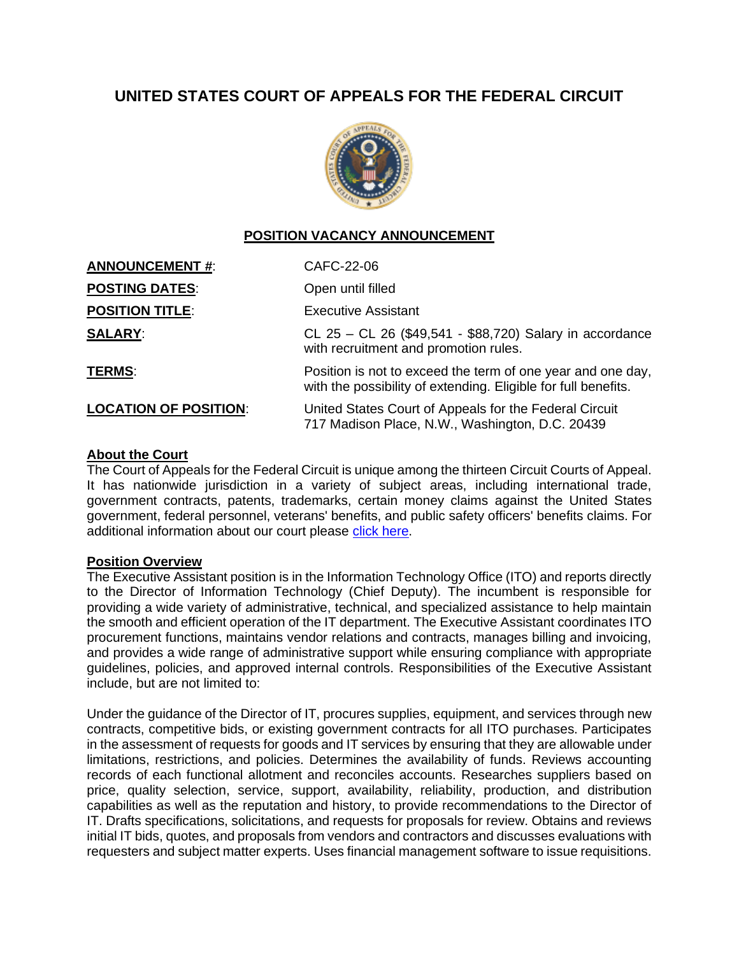# **UNITED STATES COURT OF APPEALS FOR THE FEDERAL CIRCUIT**



# **POSITION VACANCY ANNOUNCEMENT**

| <b>ANNOUNCEMENT #:</b>       | CAFC-22-06                                                                                                                    |
|------------------------------|-------------------------------------------------------------------------------------------------------------------------------|
| <b>POSTING DATES:</b>        | Open until filled                                                                                                             |
| <b>POSITION TITLE:</b>       | <b>Executive Assistant</b>                                                                                                    |
| <b>SALARY:</b>               | CL 25 - CL 26 (\$49,541 - \$88,720) Salary in accordance<br>with recruitment and promotion rules.                             |
| <b>TERMS:</b>                | Position is not to exceed the term of one year and one day,<br>with the possibility of extending. Eligible for full benefits. |
| <b>LOCATION OF POSITION:</b> | United States Court of Appeals for the Federal Circuit<br>717 Madison Place, N.W., Washington, D.C. 20439                     |

#### **About the Court**

The Court of Appeals for the Federal Circuit is unique among the thirteen Circuit Courts of Appeal. It has nationwide jurisdiction in a variety of subject areas, including international trade, government contracts, patents, trademarks, certain money claims against the United States government, federal personnel, veterans' benefits, and public safety officers' benefits claims. For additional information about our court please [click here.](https://cafc.uscourts.gov/home/the-court/about-the-court/)

#### **Position Overview**

The Executive Assistant position is in the Information Technology Office (ITO) and reports directly to the Director of Information Technology (Chief Deputy). The incumbent is responsible for providing a wide variety of administrative, technical, and specialized assistance to help maintain the smooth and efficient operation of the IT department. The Executive Assistant coordinates ITO procurement functions, maintains vendor relations and contracts, manages billing and invoicing, and provides a wide range of administrative support while ensuring compliance with appropriate guidelines, policies, and approved internal controls. Responsibilities of the Executive Assistant include, but are not limited to:

Under the guidance of the Director of IT, procures supplies, equipment, and services through new contracts, competitive bids, or existing government contracts for all ITO purchases. Participates in the assessment of requests for goods and IT services by ensuring that they are allowable under limitations, restrictions, and policies. Determines the availability of funds. Reviews accounting records of each functional allotment and reconciles accounts. Researches suppliers based on price, quality selection, service, support, availability, reliability, production, and distribution capabilities as well as the reputation and history, to provide recommendations to the Director of IT. Drafts specifications, solicitations, and requests for proposals for review. Obtains and reviews initial IT bids, quotes, and proposals from vendors and contractors and discusses evaluations with requesters and subject matter experts. Uses financial management software to issue requisitions.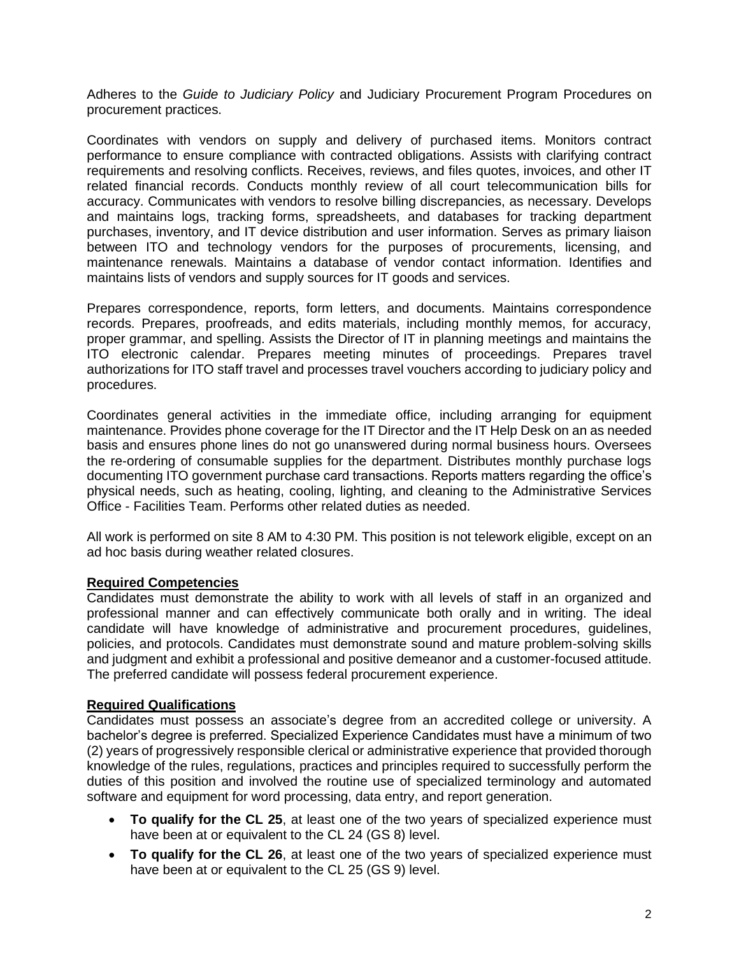Adheres to the *Guide to Judiciary Policy* and Judiciary Procurement Program Procedures on procurement practices.

Coordinates with vendors on supply and delivery of purchased items. Monitors contract performance to ensure compliance with contracted obligations. Assists with clarifying contract requirements and resolving conflicts. Receives, reviews, and files quotes, invoices, and other IT related financial records. Conducts monthly review of all court telecommunication bills for accuracy. Communicates with vendors to resolve billing discrepancies, as necessary. Develops and maintains logs, tracking forms, spreadsheets, and databases for tracking department purchases, inventory, and IT device distribution and user information. Serves as primary liaison between ITO and technology vendors for the purposes of procurements, licensing, and maintenance renewals. Maintains a database of vendor contact information. Identifies and maintains lists of vendors and supply sources for IT goods and services.

Prepares correspondence, reports, form letters, and documents. Maintains correspondence records. Prepares, proofreads, and edits materials, including monthly memos, for accuracy, proper grammar, and spelling. Assists the Director of IT in planning meetings and maintains the ITO electronic calendar. Prepares meeting minutes of proceedings. Prepares travel authorizations for ITO staff travel and processes travel vouchers according to judiciary policy and procedures.

Coordinates general activities in the immediate office, including arranging for equipment maintenance. Provides phone coverage for the IT Director and the IT Help Desk on an as needed basis and ensures phone lines do not go unanswered during normal business hours. Oversees the re-ordering of consumable supplies for the department. Distributes monthly purchase logs documenting ITO government purchase card transactions. Reports matters regarding the office's physical needs, such as heating, cooling, lighting, and cleaning to the Administrative Services Office - Facilities Team. Performs other related duties as needed.

All work is performed on site 8 AM to 4:30 PM. This position is not telework eligible, except on an ad hoc basis during weather related closures.

### **Required Competencies**

Candidates must demonstrate the ability to work with all levels of staff in an organized and professional manner and can effectively communicate both orally and in writing. The ideal candidate will have knowledge of administrative and procurement procedures, guidelines, policies, and protocols. Candidates must demonstrate sound and mature problem-solving skills and judgment and exhibit a professional and positive demeanor and a customer-focused attitude. The preferred candidate will possess federal procurement experience.

### **Required Qualifications**

Candidates must possess an associate's degree from an accredited college or university. A bachelor's degree is preferred. Specialized Experience Candidates must have a minimum of two (2) years of progressively responsible clerical or administrative experience that provided thorough knowledge of the rules, regulations, practices and principles required to successfully perform the duties of this position and involved the routine use of specialized terminology and automated software and equipment for word processing, data entry, and report generation.

- **To qualify for the CL 25**, at least one of the two years of specialized experience must have been at or equivalent to the CL 24 (GS 8) level.
- **To qualify for the CL 26**, at least one of the two years of specialized experience must have been at or equivalent to the CL 25 (GS 9) level.